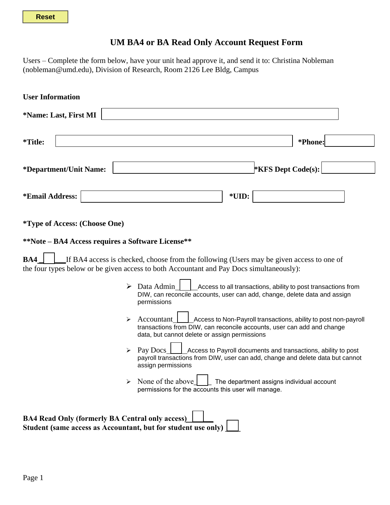## **UM BA4 or BA Read Only Account Request Form**

Users – Complete the form below, have your unit head approve it, and send it to: Christina Nobleman (nobleman@umd.edu), Division of Research, Room 2126 Lee Bldg, Campus

| <b>User Information</b>                                                                                                 |                                                                                                                                                                                                          |
|-------------------------------------------------------------------------------------------------------------------------|----------------------------------------------------------------------------------------------------------------------------------------------------------------------------------------------------------|
| *Name: Last, First MI                                                                                                   |                                                                                                                                                                                                          |
| <i>*</i> Title:                                                                                                         | *Phone:                                                                                                                                                                                                  |
| *Department/Unit Name:                                                                                                  | <b>*KFS Dept Code(s):</b>                                                                                                                                                                                |
| *Email Address:                                                                                                         | *UID:                                                                                                                                                                                                    |
| <i>*Type of Access: (Choose One)</i>                                                                                    |                                                                                                                                                                                                          |
| **Note – BA4 Access requires a Software License**                                                                       |                                                                                                                                                                                                          |
| BA4                                                                                                                     | If BA4 access is checked, choose from the following (Users may be given access to one of<br>the four types below or be given access to both Accountant and Pay Docs simultaneously):                     |
| ➤                                                                                                                       | Data Admin<br>Access to all transactions, ability to post transactions from<br>DIW, can reconcile accounts, user can add, change, delete data and assign<br>permissions                                  |
| ➤                                                                                                                       | Access to Non-Payroll transactions, ability to post non-payroll<br>Accountant<br>transactions from DIW, can reconcile accounts, user can add and change<br>data, but cannot delete or assign permissions |
| ➤                                                                                                                       | Pay Docs<br>Access to Payroll documents and transactions, ability to post<br>payroll transactions from DIW, user can add, change and delete data but cannot<br>assign permissions                        |
|                                                                                                                         | None of the above<br>$\Box$ The department assigns individual account<br>permissions for the accounts this user will manage.                                                                             |
| <b>BA4 Read Only (formerly BA Central only access)</b><br>Student (same access as Accountant, but for student use only) |                                                                                                                                                                                                          |